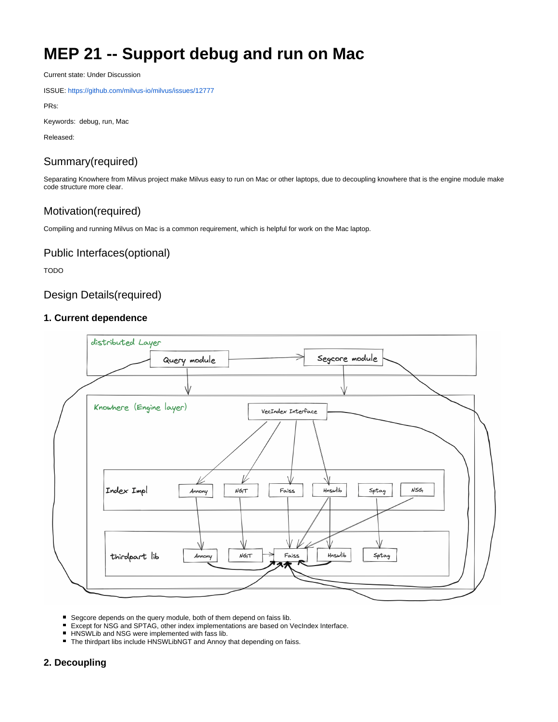# **MEP 21 -- Support debug and run on Mac**

Current state: Under Discussion

ISSUE: <https://github.com/milvus-io/milvus/issues/12777>

PRs:

Keywords: debug, run, Mac

Released:

# Summary(required)

Separating Knowhere from Milvus project make Milvus easy to run on Mac or other laptops, due to decoupling knowhere that is the engine module make code structure more clear.

## Motivation(required)

Compiling and running Milvus on Mac is a common requirement, which is helpful for work on the Mac laptop.

### Public Interfaces(optional)

TODO

## Design Details(required)

#### **1. Current dependence**



- Segcore depends on the query module, both of them depend on faiss lib.
- $\blacksquare$ Except for NSG and SPTAG, other index implementations are based on VecIndex Interface.
- HNSWLib and NSG were implemented with fass lib.
- The thirdpart libs include HNSWLibNGT and Annoy that depending on faiss.

### **2. Decoupling**